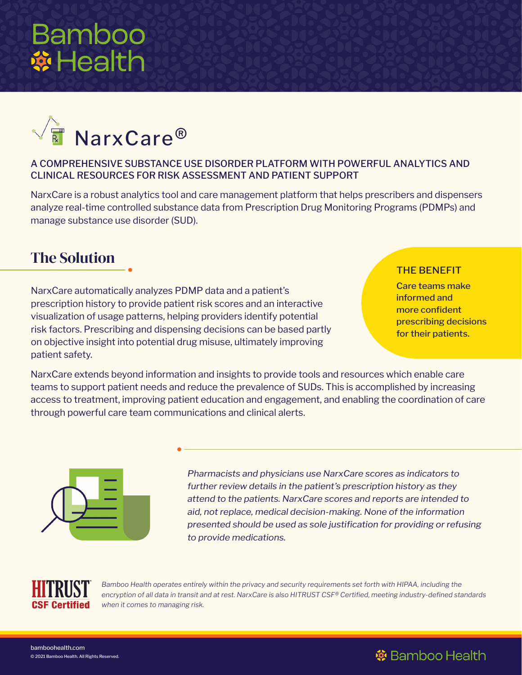# **Bamboo \*Health**



### A COMPREHENSIVE SUBSTANCE USE DISORDER PLATFORM WITH POWERFUL ANALYTICS AND CLINICAL RESOURCES FOR RISK ASSESSMENT AND PATIENT SUPPORT

NarxCare is a robust analytics tool and care management platform that helps prescribers and dispensers analyze real-time controlled substance data from Prescription Drug Monitoring Programs (PDMPs) and manage substance use disorder (SUD).

## The Solution

NarxCare automatically analyzes PDMP data and a patient's prescription history to provide patient risk scores and an interactive visualization of usage patterns, helping providers identify potential risk factors. Prescribing and dispensing decisions can be based partly on objective insight into potential drug misuse, ultimately improving patient safety.

#### THE BENEFIT

※ Bamboo Health

Care teams make informed and more confident prescribing decisions for their patients.

NarxCare extends beyond information and insights to provide tools and resources which enable care teams to support patient needs and reduce the prevalence of SUDs. This is accomplished by increasing access to treatment, improving patient education and engagement, and enabling the coordination of care through powerful care team communications and clinical alerts.



*Pharmacists and physicians use NarxCare scores as indicators to further review details in the patient's prescription history as they attend to the patients. NarxCare scores and reports are intended to aid, not replace, medical decision-making. None of the information presented should be used as sole justification for providing or refusing to provide medications.*



Bamboo Health operates entirely within the privacy and security requirements set forth with HIPAA, including the *encryption of all data in transit and at rest. NarxCare is also HITRUST CSF®️ Certified, meeting industry-defined standards when it comes to managing risk.*